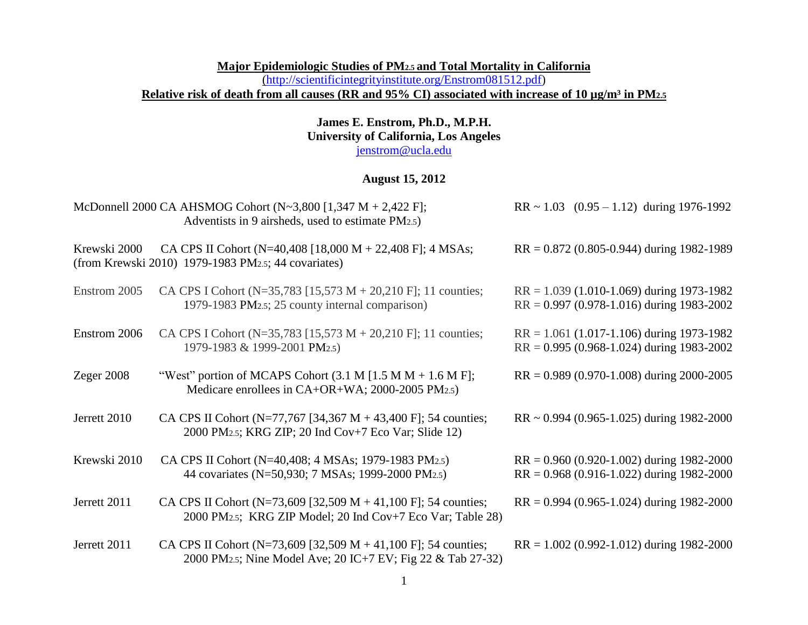### **Major Epidemiologic Studies of PM2.5 and Total Mortality in California**  [\(http://scientificintegrityinstitute.org/Enstrom081512.pdf\)](http://scientificintegrityinstitute.org/Enstrom081512.pdf) Relative risk of death from all causes (RR and 95% CI) associated with increase of 10 µg/m<sup>3</sup> in PM<sub>2.5</sub>

### **James E. Enstrom, Ph.D., M.P.H. University of California, Los Angeles** [jenstrom@ucla.edu](mailto:jenstrom@ucla.edu)

# **August 15, 2012**

|              | McDonnell 2000 CA AHSMOG Cohort (N~3,800 [1,347 M + 2,422 F];<br>Adventists in 9 airsheds, used to estimate PM2.5)                         | $RR \sim 1.03$ (0.95 - 1.12) during 1976-1992                                                |
|--------------|--------------------------------------------------------------------------------------------------------------------------------------------|----------------------------------------------------------------------------------------------|
| Krewski 2000 | CA CPS II Cohort (N=40,408 [18,000 M + 22,408 F]; 4 MSAs;<br>(from Krewski 2010) 1979-1983 PM2.5; 44 covariates)                           | $RR = 0.872$ (0.805-0.944) during 1982-1989                                                  |
| Enstrom 2005 | CA CPS I Cohort (N=35,783 [15,573 M + 20,210 F]; 11 counties;<br>1979-1983 PM2.5; 25 county internal comparison)                           | $RR = 1.039$ (1.010-1.069) during 1973-1982<br>$RR = 0.997 (0.978 - 1.016)$ during 1983-2002 |
| Enstrom 2006 | CA CPS I Cohort (N=35,783 [15,573 M + 20,210 F]; 11 counties;<br>1979-1983 & 1999-2001 PM2.5)                                              | $RR = 1.061$ (1.017-1.106) during 1973-1982<br>$RR = 0.995 (0.968 - 1.024)$ during 1983-2002 |
| Zeger $2008$ | "West" portion of MCAPS Cohort $(3.1 M [1.5 M M + 1.6 M F])$ ;<br>Medicare enrollees in CA+OR+WA; 2000-2005 PM2.5)                         | $RR = 0.989 (0.970-1.008)$ during 2000-2005                                                  |
| Jerrett 2010 | CA CPS II Cohort (N=77,767 [34,367 M + 43,400 F]; 54 counties;<br>2000 PM2.5; KRG ZIP; 20 Ind Cov+7 Eco Var; Slide 12)                     | $RR \sim 0.994$ (0.965-1.025) during 1982-2000                                               |
| Krewski 2010 | CA CPS II Cohort (N=40,408; 4 MSAs; 1979-1983 PM2.5)<br>44 covariates (N=50,930; 7 MSAs; 1999-2000 PM2.5)                                  | $RR = 0.960 (0.920-1.002)$ during 1982-2000<br>$RR = 0.968$ (0.916-1.022) during 1982-2000   |
| Jerrett 2011 | CA CPS II Cohort (N=73,609 [32,509 M + 41,100 F]; 54 counties;<br>2000 PM2.5; KRG ZIP Model; 20 Ind Cov+7 Eco Var; Table 28)               | $RR = 0.994 (0.965 - 1.024)$ during 1982-2000                                                |
| Jerrett 2011 | CA CPS II Cohort (N=73,609 [32,509 M + 41,100 F]; 54 counties;<br>2000 PM <sub>2.5</sub> ; Nine Model Ave; 20 IC+7 EV; Fig 22 & Tab 27-32) | $RR = 1.002$ (0.992-1.012) during 1982-2000                                                  |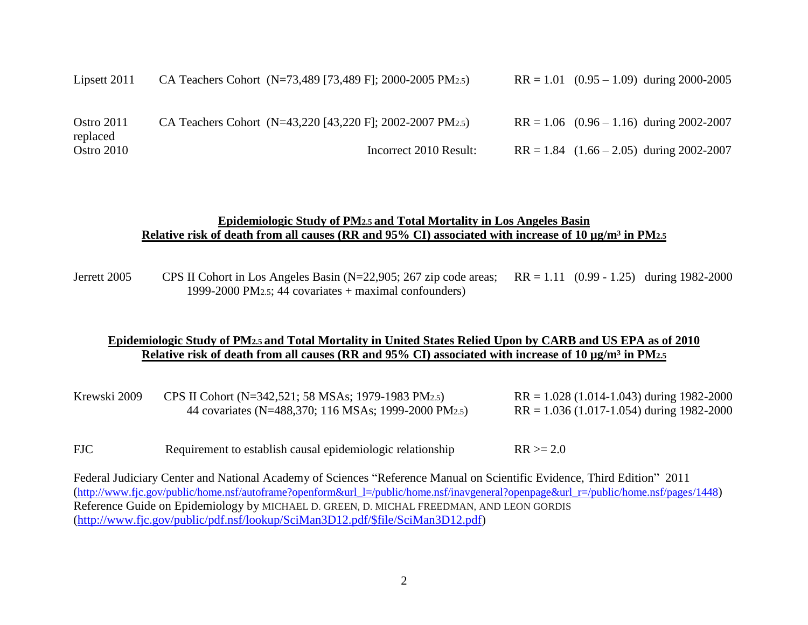| Lipsett 2011           | CA Teachers Cohort (N=73,489 [73,489 F]; 2000-2005 PM2.5) | $RR = 1.01$ (0.95 – 1.09) during 2000-2005   |
|------------------------|-----------------------------------------------------------|----------------------------------------------|
| Ostro 2011<br>replaced | CA Teachers Cohort (N=43,220 [43,220 F]; 2002-2007 PM2.5) | $RR = 1.06$ (0.96 – 1.16) during 2002-2007   |
| Ostro 2010             | Incorrect 2010 Result:                                    | $RR = 1.84$ $(1.66 - 2.05)$ during 2002-2007 |

#### **Epidemiologic Study of PM2.5 and Total Mortality in Los Angeles Basin** Relative risk of death from all causes (RR and 95% CI) associated with increase of 10 µg/m<sup>3</sup> in PM<sub>2.5</sub>

Jerrett 2005 CPS II Cohort in Los Angeles Basin (N=22,905; 267 zip code areas; RR = 1.11 (0.99 - 1.25) during 1982-2000 1999-2000 PM2.5; 44 covariates + maximal confounders)

### **Epidemiologic Study of PM2.5 and Total Mortality in United States Relied Upon by CARB and US EPA as of 2010** Relative risk of death from all causes (RR and 95% CI) associated with increase of 10  $\mu$ g/m<sup>3</sup> in PM<sub>2.5</sub>

| Krewski 2009 | CPS II Cohort (N=342,521; 58 MSAs; 1979-1983 PM2.5)  | $RR = 1.028(1.014 - 1.043)$ during 1982-2000  |
|--------------|------------------------------------------------------|-----------------------------------------------|
|              | 44 covariates (N=488,370; 116 MSAs; 1999-2000 PM2.5) | $RR = 1.036 (1.017 - 1.054)$ during 1982-2000 |

FJC Requirement to establish causal epidemiologic relationship  $RR \ge 2.0$ 

Federal Judiciary Center and National Academy of Sciences "Reference Manual on Scientific Evidence, Third Edition" 2011 ([http://www.fjc.gov/public/home.nsf/autoframe?openform&url\\_l=/public/home.nsf/inavgeneral?openpage&url\\_r=/public/home.nsf/pages/1448](http://www.fjc.gov/public/home.nsf/autoframe?openform&url_l=/public/home.nsf/inavgeneral?openpage&url_r=/public/home.nsf/pages/1448)) Reference Guide on Epidemiology by MICHAEL D. GREEN, D. MICHAL FREEDMAN, AND LEON GORDIS [\(http://www.fjc.gov/public/pdf.nsf/lookup/SciMan3D12.pdf/\\$file/SciMan3D12.pdf\)](http://www.fjc.gov/public/pdf.nsf/lookup/SciMan3D12.pdf/$file/SciMan3D12.pdf)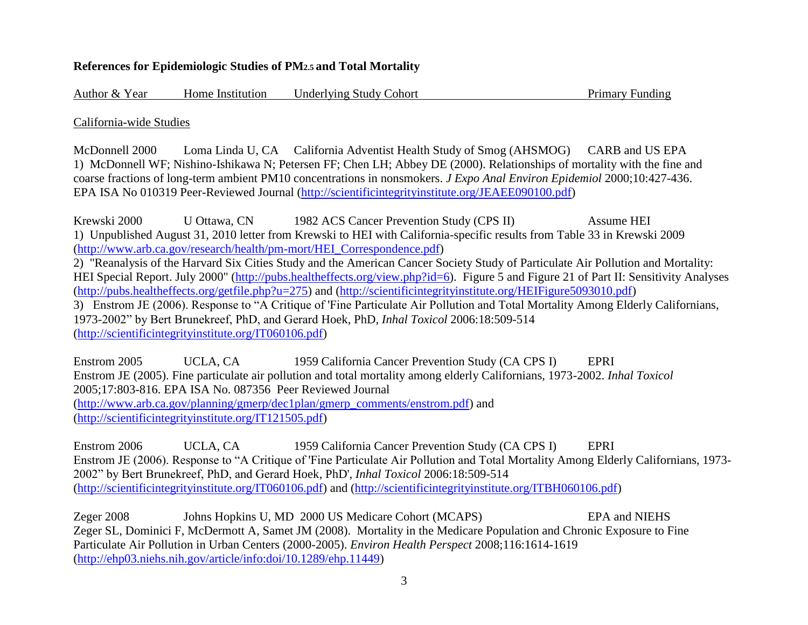## **References for Epidemiologic Studies of PM2.5 and Total Mortality**

Author & Year Home Institution Underlying Study Cohort Primary Funding

California-wide Studies

McDonnell 2000 Loma Linda U, CA California Adventist Health Study of Smog (AHSMOG) CARB and US EPA 1) McDonnell WF; Nishino-Ishikawa N; Petersen FF; Chen LH; Abbey DE (2000). Relationships of mortality with the fine and coarse fractions of long-term ambient PM10 concentrations in nonsmokers. *J Expo Anal Environ Epidemiol* 2000;10:427-436. EPA ISA No 010319 Peer-Reviewed Journal [\(http://scientificintegrityinstitute.org/JEAEE090100.pdf\)](http://scientificintegrityinstitute.org/JEAEE090100.pdf)

Krewski 2000 U Ottawa, CN 1982 ACS Cancer Prevention Study (CPS II) Assume HEI 1) Unpublished August 31, 2010 letter from Krewski to HEI with California-specific results from Table 33 in Krewski 2009 [\(http://www.arb.ca.gov/research/health/pm-mort/HEI\\_Correspondence.pdf\)](http://www.arb.ca.gov/research/health/pm-mort/HEI_Correspondence.pdf) 2) "Reanalysis of the Harvard Six Cities Study and the American Cancer Society Study of Particulate Air Pollution and Mortality: HEI Special Report. July 2000" [\(http://pubs.healtheffects.org/view.php?id=6\)](http://pubs.healtheffects.org/view.php?id=6). Figure 5 and Figure 21 of Part II: Sensitivity Analyses [\(http://pubs.healtheffects.org/getfile.php?u=275\)](http://pubs.healtheffects.org/getfile.php?u=275) and [\(http://scientificintegrityinstitute.org/HEIFigure5093010.pdf\)](http://scientificintegrityinstitute.org/HEIFigure5093010.pdf) 3) Enstrom JE (2006). Response to "A Critique of 'Fine Particulate Air Pollution and Total Mortality Among Elderly Californians, 1973-2002" by Bert Brunekreef, PhD, and Gerard Hoek, PhD, *Inhal Toxicol* 2006:18:509-514 [\(http://scientificintegrityinstitute.org/IT060106.pdf\)](http://scientificintegrityinstitute.org/IT060106.pdf)

Enstrom 2005 UCLA, CA 1959 California Cancer Prevention Study (CA CPS I) EPRI Enstrom JE (2005). Fine particulate air pollution and total mortality among elderly Californians, 1973-2002. *Inhal Toxicol* 2005;17:803-816. EPA ISA No. 087356 Peer Reviewed Journal [\(http://www.arb.ca.gov/planning/gmerp/dec1plan/gmerp\\_comments/enstrom.pdf\)](http://www.arb.ca.gov/planning/gmerp/dec1plan/gmerp_comments/enstrom.pdf) and [\(http://scientificintegrityinstitute.org/IT121505.pdf\)](http://scientificintegrityinstitute.org/IT121505.pdf)

Enstrom 2006 UCLA, CA 1959 California Cancer Prevention Study (CA CPS I) EPRI Enstrom JE (2006). Response to "A Critique of 'Fine Particulate Air Pollution and Total Mortality Among Elderly Californians, 1973- 2002" by Bert Brunekreef, PhD, and Gerard Hoek, PhD', *Inhal Toxicol* 2006:18:509-514 [\(http://scientificintegrityinstitute.org/IT060106.pdf\)](http://scientificintegrityinstitute.org/IT060106.pdf) and [\(http://scientificintegrityinstitute.org/ITBH060106.pdf\)](http://scientificintegrityinstitute.org/ITBH060106.pdf)

Zeger 2008 Johns Hopkins U, MD 2000 US Medicare Cohort (MCAPS) EPA and NIEHS Zeger SL, Dominici F, McDermott A, Samet JM (2008). Mortality in the Medicare Population and Chronic Exposure to Fine Particulate Air Pollution in Urban Centers (2000-2005). *Environ Health Perspect* 2008;116:1614-1619 [\(http://ehp03.niehs.nih.gov/article/info:doi/10.1289/ehp.11449\)](http://ehp03.niehs.nih.gov/article/info:doi/10.1289/ehp.11449)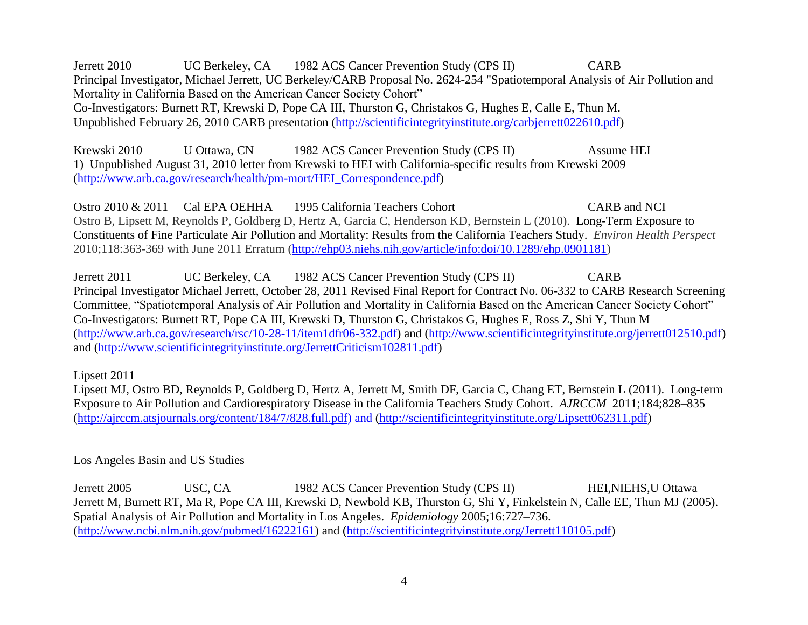Jerrett 2010 UC Berkeley, CA 1982 ACS Cancer Prevention Study (CPS II) CARB Principal Investigator, Michael Jerrett, UC Berkeley/CARB Proposal No. 2624-254 "Spatiotemporal Analysis of Air Pollution and Mortality in California Based on the American Cancer Society Cohort" Co-Investigators: Burnett RT, Krewski D, Pope CA III, Thurston G, Christakos G, Hughes E, Calle E, Thun M. Unpublished February 26, 2010 CARB presentation [\(http://scientificintegrityinstitute.org/carbjerrett022610.pdf\)](http://scientificintegrityinstitute.org/carbjerrett022610.pdf)

Krewski 2010 U Ottawa, CN 1982 ACS Cancer Prevention Study (CPS II) Assume HEI 1) Unpublished August 31, 2010 letter from Krewski to HEI with California-specific results from Krewski 2009 [\(http://www.arb.ca.gov/research/health/pm-mort/HEI\\_Correspondence.pdf\)](http://www.arb.ca.gov/research/health/pm-mort/HEI_Correspondence.pdf)

Ostro 2010 & 2011 Cal EPA OEHHA 1995 California Teachers Cohort CARB and NCI Ostro B, Lipsett M, Reynolds P, Goldberg D, Hertz A, Garcia C, Henderson KD, Bernstein L (2010). Long-Term Exposure to Constituents of Fine Particulate Air Pollution and Mortality: Results from the California Teachers Study. *Environ Health Perspect* 2010;118:363-369 with June 2011 Erratum [\(http://ehp03.niehs.nih.gov/article/info:doi/10.1289/ehp.0901181\)](http://ehp03.niehs.nih.gov/article/info:doi/10.1289/ehp.0901181)

Jerrett 2011 UC Berkeley, CA 1982 ACS Cancer Prevention Study (CPS II) CARB Principal Investigator Michael Jerrett, October 28, 2011 Revised Final Report for Contract No. 06-332 to CARB Research Screening Committee, "Spatiotemporal Analysis of Air Pollution and Mortality in California Based on the American Cancer Society Cohort" Co-Investigators: Burnett RT, Pope CA III, Krewski D, Thurston G, Christakos G, Hughes E, Ross Z, Shi Y, Thun M [\(http://www.arb.ca.gov/research/rsc/10-28-11/item1dfr06-332.pdf\)](http://www.arb.ca.gov/research/rsc/10-28-11/item1dfr06-332.pdf) and [\(http://www.scientificintegrityinstitute.org/jerrett012510.pdf\)](http://www.scientificintegrityinstitute.org/jerrett012510.pdf) and [\(http://www.scientificintegrityinstitute.org/JerrettCriticism102811.pdf\)](http://www.scientificintegrityinstitute.org/JerrettCriticism102811.pdf)

Lipsett 2011

Lipsett MJ, Ostro BD, Reynolds P, Goldberg D, Hertz A, Jerrett M, Smith DF, Garcia C, Chang ET, Bernstein L (2011). Long-term Exposure to Air Pollution and Cardiorespiratory Disease in the California Teachers Study Cohort. *AJRCCM* 2011;184;828–835 [\(http://ajrccm.atsjournals.org/content/184/7/828.full.pdf\)](http://ajrccm.atsjournals.org/content/184/7/828.full.pdf) and [\(http://scientificintegrityinstitute.org/Lipsett062311.pdf\)](http://scientificintegrityinstitute.org/Lipsett062311.pdf)

# Los Angeles Basin and US Studies

Jerrett 2005 USC, CA 1982 ACS Cancer Prevention Study (CPS II) HEI,NIEHS,U Ottawa Jerrett M, Burnett RT, Ma R, Pope CA III, Krewski D, Newbold KB, Thurston G, Shi Y, Finkelstein N, Calle EE, Thun MJ (2005). Spatial Analysis of Air Pollution and Mortality in Los Angeles. *Epidemiology* 2005;16:727–736. [\(http://www.ncbi.nlm.nih.gov/pubmed/16222161\)](http://www.ncbi.nlm.nih.gov/pubmed/16222161) and [\(http://scientificintegrityinstitute.org/Jerrett110105.pdf\)](http://scientificintegrityinstitute.org/Jerrett110105.pdf)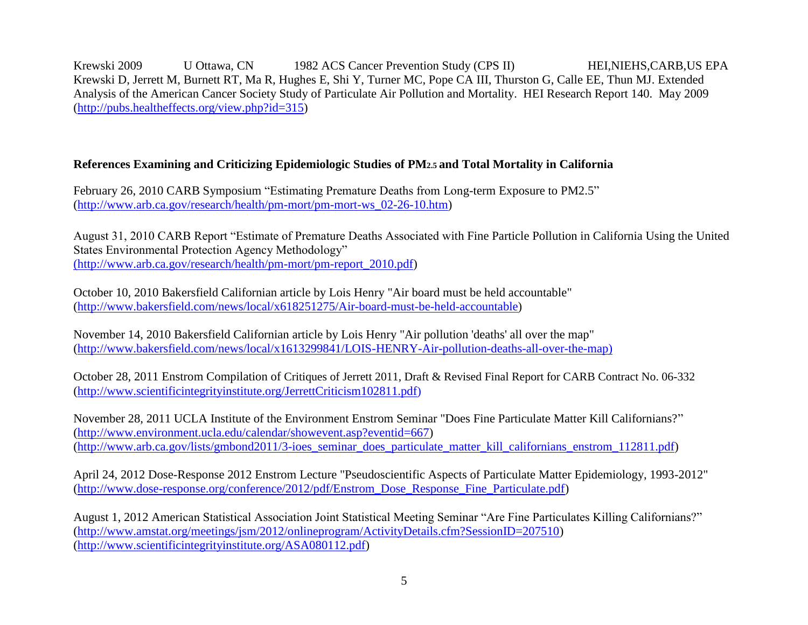Krewski 2009 U Ottawa, CN 1982 ACS Cancer Prevention Study (CPS II) HEI, NIEHS, CARB, US EPA Krewski D, Jerrett M, Burnett RT, Ma R, Hughes E, Shi Y, Turner MC, Pope CA III, Thurston G, Calle EE, Thun MJ. [Extended](http://pubs.healtheffects.org/view.php?id=315)  [Analysis of the American Cancer Society Study of Particulate Air Pollution and Mortality.](http://pubs.healtheffects.org/view.php?id=315) HEI Research Report 140. May 2009 [\(http://pubs.healtheffects.org/view.php?id=315\)](http://pubs.healtheffects.org/view.php?id=315)

# **References Examining and Criticizing Epidemiologic Studies of PM2.5 and Total Mortality in California**

February 26, 2010 CARB Symposium "Estimating Premature Deaths from Long-term Exposure to PM2.5" [\(http://www.arb.ca.gov/research/health/pm-mort/pm-mort-ws\\_02-26-10.htm\)](http://www.arb.ca.gov/research/health/pm-mort/pm-mort-ws_02-26-10.htm)

August 31, 2010 CARB Report "Estimate of Premature Deaths Associated with Fine Particle Pollution in California Using the United States Environmental Protection Agency Methodology" [\(http://www.arb.ca.gov/research/health/pm-mort/pm-report\\_2010.pdf\)]((http:/www.arb.ca.gov/research/health/pm-mort/pm-report_2010.pdf)

October 10, 2010 Bakersfield Californian article by Lois Henry "Air board must be held accountable" [\(http://www.bakersfield.com/news/local/x618251275/Air-board-must-be-held-accountable\)](http://www.bakersfield.com/news/local/x618251275/Air-board-must-be-held-accountable)

November 14, 2010 Bakersfield Californian article by Lois Henry "Air pollution 'deaths' all over the map" [\(http://www.bakersfield.com/news/local/x1613299841/LOIS-HENRY-Air-pollution-deaths-all-over-the-map\)](http://www.bakersfield.com/news/local/x1613299841/LOIS-HENRY-Air-pollution-deaths-all-over-the-map)

October 28, 2011 Enstrom Compilation of Critiques of Jerrett 2011, Draft & Revised Final Report for CARB Contract No. 06-332 [\(http://www.scientificintegrityinstitute.org/JerrettCriticism102811.pdf](http://www.scientificintegrityinstitute.org/JerrettCriticism102811.pdf))

November 28, 2011 UCLA Institute of the Environment Enstrom Seminar "Does Fine Particulate Matter Kill Californians?" [\(http://www.environment.ucla.edu/calendar/showevent.asp?eventid=667\)](http://www.environment.ucla.edu/calendar/showevent.asp?eventid=667) [\(http://www.arb.ca.gov/lists/gmbond2011/3-ioes\\_seminar\\_does\\_particulate\\_matter\\_kill\\_californians\\_enstrom\\_112811.pdf\)](http://www.arb.ca.gov/lists/gmbond2011/3-ioes_seminar_does_particulate_matter_kill_californians_enstrom_112811.pdf)

April 24, 2012 Dose-Response 2012 Enstrom Lecture "Pseudoscientific Aspects of Particulate Matter Epidemiology, 1993-2012" [\(http://www.dose-response.org/conference/2012/pdf/Enstrom\\_Dose\\_Response\\_Fine\\_Particulate.pdf\)](http://www.dose-response.org/conference/2012/pdf/Enstrom_Dose_Response_Fine_Particulate.pdf)

August 1, 2012 American Statistical Association Joint Statistical Meeting Seminar "Are Fine Particulates Killing Californians?" [\(http://www.amstat.org/meetings/jsm/2012/onlineprogram/ActivityDetails.cfm?SessionID=207510\)](http://www.amstat.org/meetings/jsm/2012/onlineprogram/ActivityDetails.cfm?SessionID=207510) [\(http://www.scientificintegrityinstitute.org/ASA080112.pdf\)](http://www.scientificintegrityinstitute.org/ASA080112.pdf)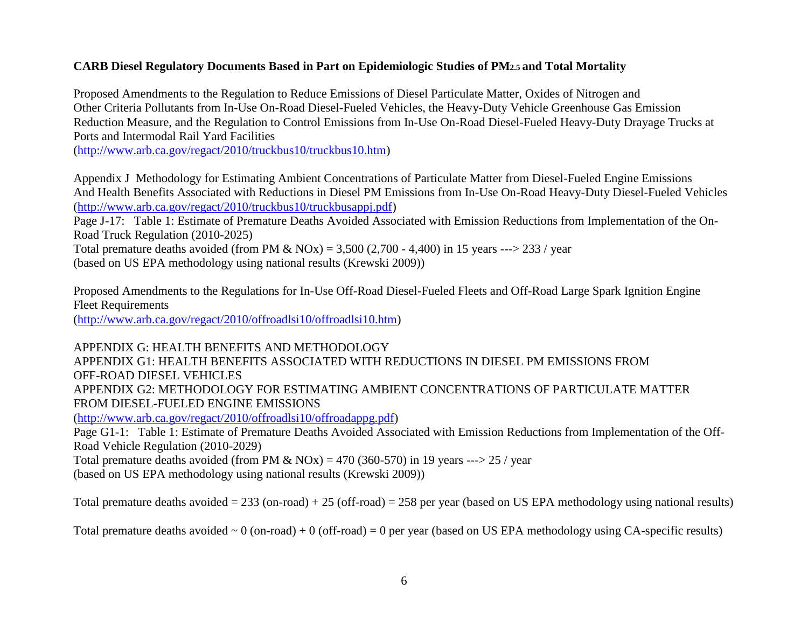# **CARB Diesel Regulatory Documents Based in Part on Epidemiologic Studies of PM2.5 and Total Mortality**

Proposed Amendments to the Regulation to Reduce Emissions of Diesel Particulate Matter, Oxides of Nitrogen and Other Criteria Pollutants from In-Use On-Road Diesel-Fueled Vehicles, the Heavy-Duty Vehicle Greenhouse Gas Emission Reduction Measure, and the Regulation to Control Emissions from In-Use On-Road Diesel-Fueled Heavy-Duty Drayage Trucks at Ports and Intermodal Rail Yard Facilities

[\(http://www.arb.ca.gov/regact/2010/truckbus10/truckbus10.htm\)](http://www.arb.ca.gov/regact/2010/truckbus10/truckbus10.htm)

Appendix J Methodology for Estimating Ambient Concentrations of Particulate Matter from Diesel-Fueled Engine Emissions And Health Benefits Associated with Reductions in Diesel PM Emissions from In-Use On-Road Heavy-Duty Diesel-Fueled Vehicles [\(http://www.arb.ca.gov/regact/2010/truckbus10/truckbusappj.pdf\)](http://www.arb.ca.gov/regact/2010/truckbus10/truckbusappj.pdf)

Page J-17: Table 1: Estimate of Premature Deaths Avoided Associated with Emission Reductions from Implementation of the On-Road Truck Regulation (2010-2025)

Total premature deaths avoided (from PM  $\&$  NOx) = 3,500 (2,700 - 4,400) in 15 years ---> 233 / year

(based on US EPA methodology using national results (Krewski 2009))

Proposed Amendments to the Regulations for In-Use Off-Road Diesel-Fueled Fleets and Off-Road Large Spark Ignition Engine Fleet Requirements

[\(http://www.arb.ca.gov/regact/2010/offroadlsi10/offroadlsi10.htm\)](http://www.arb.ca.gov/regact/2010/offroadlsi10/offroadlsi10.htm)

APPENDIX G: HEALTH BENEFITS AND METHODOLOGY APPENDIX G1: HEALTH BENEFITS ASSOCIATED WITH REDUCTIONS IN DIESEL PM EMISSIONS FROM OFF-ROAD DIESEL VEHICLES APPENDIX G2: METHODOLOGY FOR ESTIMATING AMBIENT CONCENTRATIONS OF PARTICULATE MATTER FROM DIESEL-FUELED ENGINE EMISSIONS [\(http://www.arb.ca.gov/regact/2010/offroadlsi10/offroadappg.pdf\)](http://www.arb.ca.gov/regact/2010/offroadlsi10/offroadappg.pdf) Page G1-1: Table 1: Estimate of Premature Deaths Avoided Associated with Emission Reductions from Implementation of the Off-Road Vehicle Regulation (2010-2029)

Total premature deaths avoided (from PM & NOx) = 470 (360-570) in 19 years ---> 25 / year

(based on US EPA methodology using national results (Krewski 2009))

Total premature deaths avoided  $= 233$  (on-road)  $+ 25$  (off-road)  $= 258$  per year (based on US EPA methodology using national results)

Total premature deaths avoided  $\sim 0$  (on-road) + 0 (off-road) = 0 per year (based on US EPA methodology using CA-specific results)